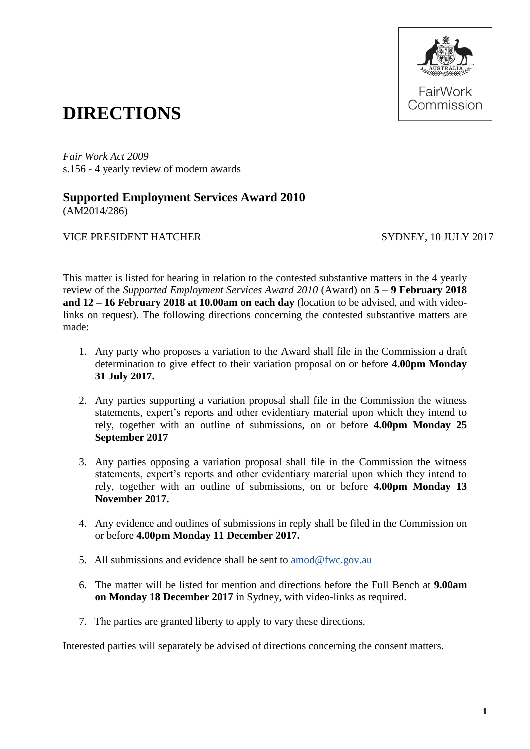

## **DIRECTIONS**

*Fair Work Act 2009*  s.156 - 4 yearly review of modern awards

## **Supported Employment Services Award 2010** (AM2014/286)

VICE PRESIDENT HATCHER SYDNEY, 10 JULY 2017

This matter is listed for hearing in relation to the contested substantive matters in the 4 yearly review of the *Supported Employment Services Award 2010* (Award) on **5 – 9 February 2018 and 12 – 16 February 2018 at 10.00am on each day** (location to be advised, and with videolinks on request). The following directions concerning the contested substantive matters are made:

- 1. Any party who proposes a variation to the Award shall file in the Commission a draft determination to give effect to their variation proposal on or before **4.00pm Monday 31 July 2017.**
- 2. Any parties supporting a variation proposal shall file in the Commission the witness statements, expert's reports and other evidentiary material upon which they intend to rely, together with an outline of submissions, on or before **4.00pm Monday 25 September 2017**
- 3. Any parties opposing a variation proposal shall file in the Commission the witness statements, expert's reports and other evidentiary material upon which they intend to rely, together with an outline of submissions, on or before **4.00pm Monday 13 November 2017.**
- 4. Any evidence and outlines of submissions in reply shall be filed in the Commission on or before **4.00pm Monday 11 December 2017.**
- 5. All submissions and evidence shall be sent to [amod@fwc.gov.au](mailto:amod@fwc.gov.au)
- 6. The matter will be listed for mention and directions before the Full Bench at **9.00am on Monday 18 December 2017** in Sydney, with video-links as required.
- 7. The parties are granted liberty to apply to vary these directions.

Interested parties will separately be advised of directions concerning the consent matters.